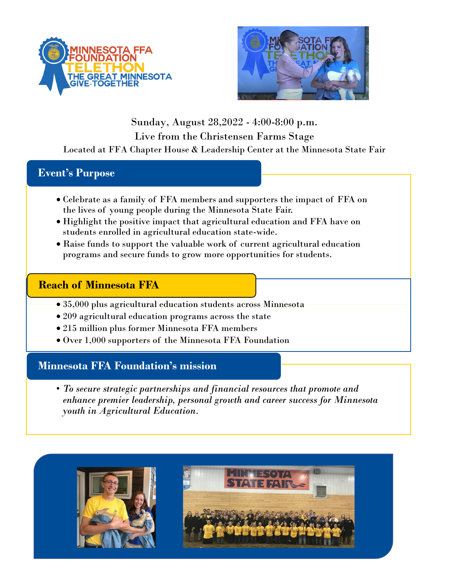



## Sunday, August 28,2022 - 4:00-8:00 p.m. Live from the Christensen Farms Stage Located at FFA Chapter House & Leadership Center at the Minnesota State Fair

## **Event's Purpose**

- Celebrate as a family of FFA members and supporters the impact of FFA on the lives of young people during the Minnesota State Fair.
- Highlight the positive impact that agricultural education and FFA have on students enrolled in agricultural education state-wide.
- Raise funds to support the valuable work of current agricultural education programs and secure funds to grow more opportunities for students.

### **Reach of Minnesota FFA**

- 35,000 plus agricultural education students across Minnesota
- 209 agricultural education programs across the state
- 215 million plus former Minnesota FFA members
- Over 1,000 supporters of the Minnesota FFA Foundation

## **Minnesota FFA Foundation's mission**

• *To secure strategic partnerships and financial resources that promote and enhance premier leadership, personal growth and career success for Minnesota youth in Agricultural Education.*

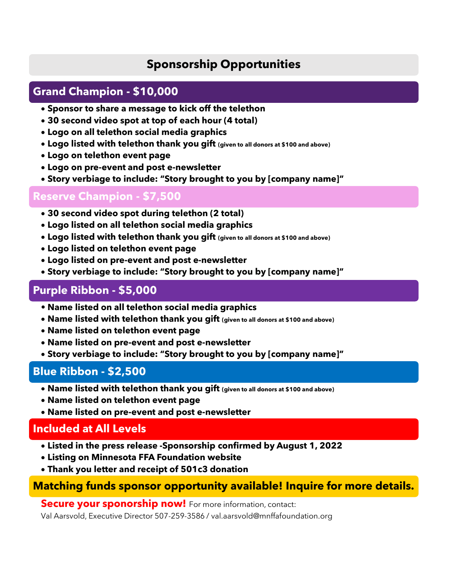# **Sponsorship Opportunities**

## **Grand Champion - \$10,000**

- **Sponsor to share a message to kick off the telethon**
- **30 second video spot at top of each hour (4 total)**
- **Logo on all telethon social media graphics**
- **Logo listed with telethon thank you gift (given to all donors at \$100 and above)**
- **Logo on telethon event page**
- **Logo on pre-event and post e-newsletter**
- **Story verbiage to include: "Story brought to you by [company name]"**

#### **Reserve Champion - \$7,500**

- **30 second video spot during telethon (2 total)**
- **Logo listed on all telethon social media graphics**
- **Logo listed with telethon thank you gift (given to all donors at \$100 and above)**
- **Logo listed on telethon event page**
- **Logo listed on pre-event and post e-newsletter**
- **Story verbiage to include: "Story brought to you by [company name]"**

## **Purple Ribbon - \$5,000**

- **• Name listed on all telethon social media graphics**
- **Name listed with telethon thank you gift (given to all donors at \$100 and above)**
- **Name listed on telethon event page**
- **Name listed on pre-event and post e-newsletter**
- **Story verbiage to include: "Story brought to you by [company name]"**

### **Blue Ribbon - \$2,500**

- **Name listed with telethon thank you gift (given to all donors at \$100 and above)**
- **Name listed on telethon event page**
- **Name listed on pre-event and post e-newsletter**

### **Included at All Levels**

- **Listed in the press release -Sponsorship confirmed by August 1, 2022**
- **Listing on Minnesota FFA Foundation website**
- **Thank you letter and receipt of 501c3 donation**

### **Matching funds sponsor opportunity available! Inquire for more details.**

**Secure your sponorship now!** For more information, contact:

Val Aarsvold, Executive Director 507-259-3586 / val.aarsvold@mnffafoundation.org